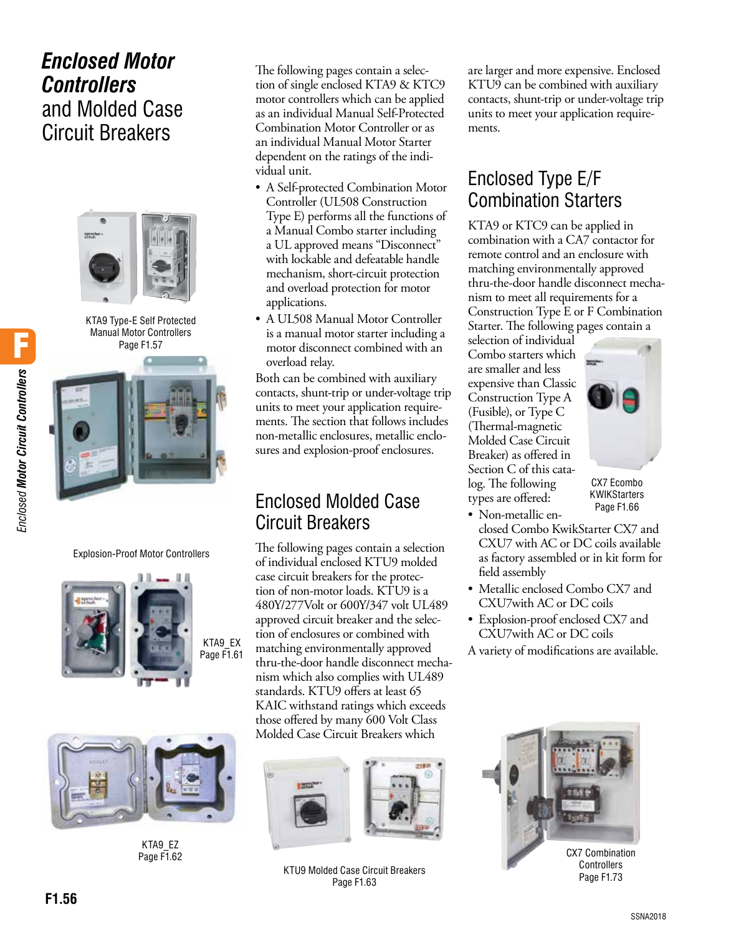# *Enclosed Motor Controllers* and Molded Case Circuit Breakers



KTA9 Type-E Self Protected Manual Motor Controllers Page F1.57



Explosion-Proof Motor Controllers





KTA9\_EZ Page F1.62

The following pages contain a selection of single enclosed KTA9 & KTC9 motor controllers which can be applied as an individual Manual Self-Protected Combination Motor Controller or as an individual Manual Motor Starter dependent on the ratings of the individual unit.

- A Self-protected Combination Motor Controller (UL508 Construction Type E) performs all the functions of a Manual Combo starter including a UL approved means "Disconnect" with lockable and defeatable handle mechanism, short-circuit protection and overload protection for motor applications.
- A UL508 Manual Motor Controller is a manual motor starter including a motor disconnect combined with an overload relay.

Both can be combined with auxiliary contacts, shunt-trip or under-voltage trip units to meet your application requirements. The section that follows includes non-metallic enclosures, metallic enclosures and explosion-proof enclosures.

# Enclosed Molded Case Circuit Breakers

The following pages contain a selection of individual enclosed KTU9 molded case circuit breakers for the protection of non-motor loads. KTU9 is a 480Y/277Volt or 600Y/347 volt UL489 approved circuit breaker and the selection of enclosures or combined with matching environmentally approved thru-the-door handle disconnect mechanism which also complies with UL489 standards. KTU9 offers at least 65 KAIC withstand ratings which exceeds those offered by many 600 Volt Class Molded Case Circuit Breakers which





KTU9 Molded Case Circuit Breakers Page F1.63

are larger and more expensive. Enclosed KTU9 can be combined with auxiliary contacts, shunt-trip or under-voltage trip units to meet your application requirements.

# Enclosed Type E/F Combination Starters

KTA9 or KTC9 can be applied in combination with a CA7 contactor for remote control and an enclosure with matching environmentally approved thru-the-door handle disconnect mechanism to meet all requirements for a Construction Type E or F Combination Starter. The following pages contain a

selection of individual Combo starters which are smaller and less expensive than Classic Construction Type A (Fusible), or Type C (Thermal-magnetic Molded Case Circuit Breaker) as offered in Section C of this catalog. The following types are offered:



CX7 Ecombo KWIKStarters Page F1.66

- Non-metallic enclosed Combo KwikStarter CX7 and CXU7 with AC or DC coils available as factory assembled or in kit form for field assembly
- Metallic enclosed Combo CX7 and CXU7with AC or DC coils
- Explosion-proof enclosed CX7 and CXU7with AC or DC coils
- A variety of modifications are available.



Page F1.73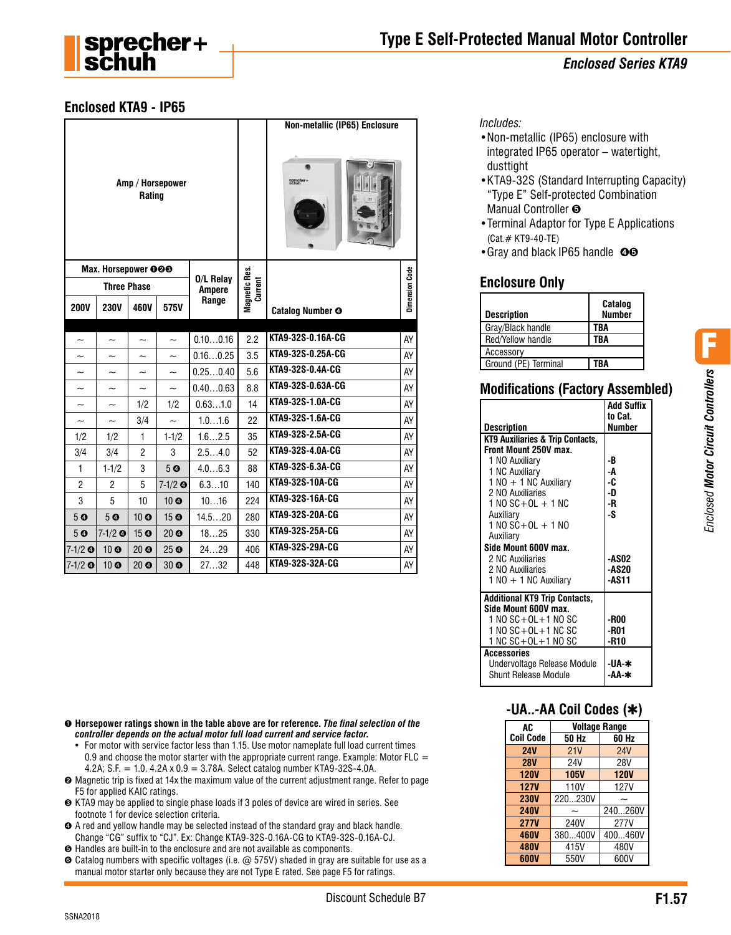

# **Enclosed KTA9 - IP65**

|                            |                           |                       |                          |           |                | Non-metallic (IP65) Enclosure |    |
|----------------------------|---------------------------|-----------------------|--------------------------|-----------|----------------|-------------------------------|----|
| Amp / Horsepower<br>Rating |                           |                       |                          |           |                |                               |    |
|                            | Max. Horsepower 000       |                       |                          | 0/L Relay |                |                               |    |
| <b>Three Phase</b>         |                           | <b>Ampere</b>         | Magnetic Res.<br>Current |           | Dimension Code |                               |    |
| <b>200V</b>                | <b>230V</b>               | 460V                  | 575V                     | Range     |                | <b>Catalog Number O</b>       |    |
|                            |                           |                       |                          |           |                |                               |    |
| $\tilde{}$                 | $\tilde{\phantom{a}}$     | $\tilde{\phantom{a}}$ | $\sim$                   | 0.100.16  | 2.2            | KTA9-32S-0.16A-CG             | AY |
|                            |                           |                       |                          | 0.160.25  | 3.5            | KTA9-32S-0.25A-CG             | AY |
| $\tilde{\phantom{0}}$      | $\overline{\phantom{0}}$  | $\tilde{}$            | $\tilde{}$               | 0.250.40  | 5.6            | KTA9-32S-0.4A-CG              | AY |
| $\tilde{\phantom{a}}$      | $\widetilde{\phantom{m}}$ | $\tilde{}$            | $\tilde{\phantom{a}}$    | 0.400.63  | 8.8            | KTA9-32S-0.63A-CG             | AY |
|                            |                           | 1/2                   | 1/2                      | 0.631.0   | 14             | KTA9-32S-1.0A-CG              | AY |
| $\tilde{}$                 | $\tilde{\phantom{a}}$     | 3/4                   | $\sim$                   | 1.01.6    | 22             | KTA9-32S-1.6A-CG              | AY |
| 1/2                        | 1/2                       | 1                     | $1 - 1/2$                | 1.62.5    | 35             | KTA9-32S-2.5A-CG              | AY |
| 3/4                        | 3/4                       | $\overline{c}$        | 3                        | 2.54.0    | 52             | KTA9-32S-4.0A-CG              | AY |
| $\mathbf{1}$               | $1 - 1/2$                 | 3                     | 5 <sub>o</sub>           | 4.06.3    | 88             | KTA9-32S-6.3A-CG              | AY |
| $\overline{c}$             | $\overline{2}$            | 5                     | $7-1/2$ $\odot$          | 6.310     | 140            | KTA9-32S-10A-CG               | AY |
| 3                          | 5                         | 10                    | 10 <sub>o</sub>          | 1016      | 224            | KTA9-32S-16A-CG               | AY |
| 5 <sub>o</sub>             | 5 <sub>o</sub>            | 10 <sub>o</sub>       | 15 <sub>o</sub>          | 14.520    | 280            | KTA9-32S-20A-CG               | AY |
| 50                         | $7-1/2$ $\odot$           | 15 <sup>°</sup>       | 20 <sub>o</sub>          | 1825      | 330            | KTA9-32S-25A-CG               | AY |
| $7 - 1/2$ O                | 10 <sub>o</sub>           | 20 <sub>o</sub>       | 25 <sup>°</sup>          | 2429      | 406            | KTA9-32S-29A-CG               | AY |
| $7 - 1/2$ O                | 10 <sub>o</sub>           | 20 <sub>o</sub>       | 30 <sub>o</sub>          | 2732      | 448            | KTA9-32S-32A-CG               | AY |

➊ **Horsepower ratings shown in the table above are for reference.** *The final selection of the controller depends on the actual motor full load current and service factor.*

- For motor with service factor less than 1.15. Use motor nameplate full load current times 0.9 and choose the motor starter with the appropriate current range. Example: Motor FLC  $=$ 4.2A; S.F. = 1.0. 4.2A x 0.9 = 3.78A. Select catalog number KTA9-32S-4.0A.
- ➋ Magnetic trip is fixed at 14x the maximum value of the current adjustment range. Refer to page F5 for applied KAIC ratings.
- ➌ KTA9 may be applied to single phase loads if 3 poles of device are wired in series. See footnote 1 for device selection criteria.
- ➍ A red and yellow handle may be selected instead of the standard gray and black handle. Change "CG" suffix to "CJ". Ex: Change KTA9-32S-0.16A-CG to KTA9-32S-0.16A-CJ.
- ➎ Handles are built-in to the enclosure and are not available as components.
- ➏ Catalog numbers with specific voltages (i.e. @ 575V) shaded in gray are suitable for use as a manual motor starter only because they are not Type E rated. See page F5 for ratings.

*Includes:*

- •Non-metallic (IP65) enclosure with integrated IP65 operator – watertight, dusttight
- •KTA9-32S (Standard Interrupting Capacity) "Type E" Self-protected Combination Manual Controller  $\Theta$
- •Terminal Adaptor for Type E Applications (Cat.# KT9-40-TE)
- •Gray and black IP65 handle <sup>oo</sup>

# **Enclosure Only**

| <b>Description</b>   | Catalog<br><b>Number</b> |
|----------------------|--------------------------|
| Gray/Black handle    | TBA                      |
| Red/Yellow handle    | TBA                      |
| Accessorv            |                          |
| Ground (PE) Terminal | ΓRΔ                      |

# **Modifications (Factory Assembled)**

| Add Suffix<br>to Cat. |
|-----------------------|
| Number                |
|                       |
|                       |
| -B                    |
| -A                    |
| -C                    |
| -D                    |
| -R                    |
| -S                    |
|                       |
|                       |
|                       |
| <b>-ASO2</b>          |
| <b>-AS20</b>          |
| -AS11                 |
|                       |
|                       |
| -R00                  |
| -R01                  |
| -R10                  |
|                       |
| -UA-∗                 |
| -АА-∗                 |
|                       |

**-UA..-AA Coil Codes (**✱**)**

| AC               | <b>Voltage Range</b> |             |  |  |
|------------------|----------------------|-------------|--|--|
| <b>Coil Code</b> | 50 Hz                | 60 Hz       |  |  |
| <b>24V</b>       | 21V                  | <b>24V</b>  |  |  |
| <b>28V</b>       | 24V                  | 28V         |  |  |
| <b>120V</b>      | <b>105V</b>          | <b>120V</b> |  |  |
| <b>127V</b>      | 110V                 | <b>127V</b> |  |  |
| <b>230V</b>      | 220230V              |             |  |  |
| <b>240V</b>      |                      | 240260V     |  |  |
| <b>277V</b>      | 240V                 | 277V        |  |  |
| <b>460V</b>      | 380400V              | 400460V     |  |  |
| <b>480V</b>      | 415V                 | 480V        |  |  |
| 600V             | 550V                 | 600V        |  |  |

Discount Schedule B7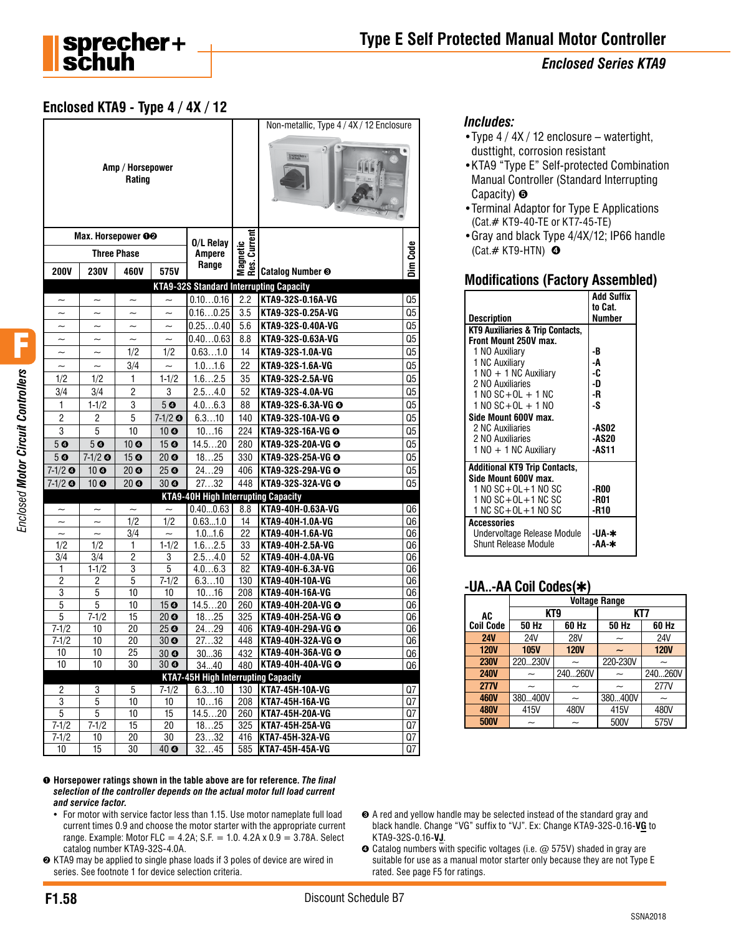

### **Enclosed KTA9 - Type 4 / 4X / 12**

|                           |                              |                            |                       |                                            |                  | Non-metallic, Type 4 / 4X / 12 Enclosure       |          |
|---------------------------|------------------------------|----------------------------|-----------------------|--------------------------------------------|------------------|------------------------------------------------|----------|
|                           |                              | Amp / Horsepower<br>Rating |                       |                                            |                  | Q                                              |          |
|                           | Max. Horsepower OO           |                            |                       | 0/L Relay                                  |                  |                                                |          |
|                           |                              | <b>Three Phase</b>         |                       | <b>Ampere</b>                              | netic<br>Current |                                                | Dim Code |
| <b>200V</b>               | <b>230V</b>                  | 460V                       | 575V                  | Range                                      | Nag<br>Res.      | Catalog Number <sup>®</sup>                    |          |
|                           |                              |                            |                       |                                            |                  | <b>KTA9-32S Standard Interrupting Capacity</b> |          |
|                           | $\overline{\phantom{0}}$     | $\tilde{\phantom{a}}$      |                       | 0.100.16                                   | 2.2              | KTA9-32S-0.16A-VG                              | Q5       |
|                           |                              |                            |                       | 0.160.25                                   | 3.5              | KTA9-32S-0.25A-VG                              | Q5       |
| $\widetilde{\phantom{m}}$ | $\tilde{\phantom{a}}$        | $\tilde{\phantom{a}}$      | $\tilde{\phantom{a}}$ | 0.250.40                                   | 5.6              | KTA9-32S-0.40A-VG                              | Q5       |
| $\tilde{\phantom{a}}$     | $\tilde{\phantom{a}}$        | $\tilde{\phantom{a}}$      | $\sim$                | 0.400.63                                   | 8.8              | KTA9-32S-0.63A-VG                              | Q5       |
| $\tilde{\phantom{a}}$     | $\tilde{}$                   | 1/2                        | 1/2                   | 0.631.0                                    | 14               | KTA9-32S-1.0A-VG                               | Q5       |
| $\widetilde{\phantom{m}}$ | $\widetilde{\phantom{m}}$    | 3/4                        | $\tilde{\phantom{a}}$ | 1.01.6                                     | 22               | KTA9-32S-1.6A-VG                               | Q5       |
| 1/2                       | 1/2                          | 1                          | $1-1/2$               | 1.62.5                                     | 35               | KTA9-32S-2.5A-VG                               | Q5       |
| 3/4                       | 3/4                          | $\overline{c}$             | 3                     | 2.54.0                                     | 52               | KTA9-32S-4.0A-VG                               | Q5       |
| $\mathbf{1}$              | $1 - 1/2$                    | 3                          | 50                    | 4.06.3                                     | 88               | KTA9-32S-6.3A-VG @                             | Q5       |
| $\overline{2}$            | $\overline{2}$               | 5                          | $7 - 1/2$ $\odot$     | 6.310                                      | 140              | KTA9-32S-10A-VG @                              | Q5       |
| 3                         | 5                            | 10                         | $10$ $\odot$          | 1016                                       | 224              | KTA9-32S-16A-VG @                              | Q5       |
| 50                        | 5 <sub>o</sub>               | 10 <sub>o</sub>            | 15 <sub>o</sub>       | 14.520                                     | 280              | KTA9-32S-20A-VG @                              | Q5       |
| 50                        | $7-1/2$ $\odot$              | 15 <sub>o</sub>            | 20 <sub>o</sub>       | 1825                                       | 330              | KTA9-32S-25A-VG @                              | Q5       |
| $7-1/2$ $\odot$           | 10 <sub>o</sub>              | 20 <sub>o</sub>            | 25 <sup>°</sup>       | 2429                                       | 406              | KTA9-32S-29A-VG @                              | Q5       |
| $7-1/2$ $\odot$           | 10 0                         | 20 <sub>o</sub>            | 30 <sub>o</sub>       | 2732                                       | 448              | KTA9-32S-32A-VG @                              | Q5       |
|                           |                              |                            |                       | <b>KTA9-40H High Interrupting Capacity</b> |                  |                                                |          |
| $\tilde{}$                | $\tilde{}$                   | $\tilde{}$                 | $\tilde{\phantom{a}}$ | 0.400.63                                   | 8.8              | KTA9-40H-0.63A-VG                              | Q6       |
|                           |                              | 1/2                        | 1/2                   | 0.631.0                                    | 14               | KTA9-40H-1.0A-VG                               | Q6       |
| $\widetilde{\phantom{m}}$ | $\widetilde{\phantom{m}}$    | $\overline{3}/4$           | $\sim$                | 1.01.6                                     | 22               | KTA9-40H-1.6A-VG                               | Q6       |
| 1/2                       | 1/2                          | 1                          | $1 - 1/2$             | 1.62.5                                     | 33               | KTA9-40H-2.5A-VG                               | Q6       |
| 3/4                       | 3/4                          | $\overline{c}$             | 3                     | 2.54.0                                     | 52               | KTA9-40H-4.0A-VG                               | Q6       |
| 1                         | $1 - 1/2$                    | $\overline{3}$             | 5                     | 4.06.3                                     | 82               | KTA9-40H-6.3A-VG                               | Q6       |
| 2<br>$\overline{3}$       | $\overline{\mathbf{c}}$<br>5 | 5<br>10                    | $7 - 1/2$<br>10       | 6.310<br>1016                              | 130<br>208       | KTA9-40H-10A-VG<br>KTA9-40H-16A-VG             | Q6<br>Q6 |
| 5                         | 5                            | 10                         | 15 <sub>o</sub>       | 14.520                                     | 260              | KTA9-40H-20A-VG @                              | Q6       |
| 5                         | $7 - 1/2$                    | 15                         | 20 <sub>o</sub>       | 1825                                       | 325              | KTA9-40H-25A-VG @                              | Q6       |
| $7 - 1/2$                 | 10                           | 20                         | 25 <sub>o</sub>       | 2429                                       | 406              | KTA9-40H-29A-VG @                              | Q6       |
| $7-1/2$                   | 10                           | 20                         | 30 <sub>o</sub>       | 2732                                       | 448              | KTA9-40H-32A-VG @                              | Q6       |
| 10                        | 10                           | 25                         | 30 <sub>o</sub>       | 3036                                       | 432              | KTA9-40H-36A-VG @                              | Q6       |
| 10                        | 10                           | 30                         | 30 <sub>o</sub>       | 3440                                       | 480              | <b>KTA9-40H-40A-VG @</b>                       | Q6       |
|                           |                              |                            |                       | <b>KTA7-45H High Interrupting Capacity</b> |                  |                                                |          |
| $\sqrt{2}$                | 3                            | 5                          | $7 - 1/2$             | 6.310                                      | 130              | KTA7-45H-10A-VG                                | Q7       |
| 3                         | 5                            | 10                         | 10                    | 1016                                       | 208              | KTA7-45H-16A-VG                                | Q7       |
| 5                         | 5                            | 10<br>15                   | 15<br>20              | 14.520<br>1825                             | 260<br>325       | KTA7-45H-20A-VG<br>KTA7-45H-25A-VG             | Q7       |
| $7 - 1/2$<br>$7-1/2$      | $7 - 1/2$<br>10              | 20                         | 30                    | 2332                                       | 416              | <b>KTA7-45H-32A-VG</b>                         | Q7<br>Q7 |
| 10                        | $\overline{15}$              | 30                         | 40 <sup>o</sup>       | 3245                                       | 585              | KTA7-45H-45A-VG                                | Q7       |
|                           |                              |                            |                       |                                            |                  |                                                |          |

#### ➊ **Horsepower ratings shown in the table above are for reference.** *The final selection of the controller depends on the actual motor full load current and service factor.*

- For motor with service factor less than 1.15. Use motor nameplate full load current times 0.9 and choose the motor starter with the appropriate current range. Example: Motor FLC = 4.2A; S.F. = 1.0.  $4.2A \times 0.9 = 3.78A$ . Select catalog number KTA9-32S-4.0A.
- **<sup>●</sup>** KTA9 may be applied to single phase loads if 3 poles of device are wired in series. See footnote 1 for device selection criteria.

#### *Includes:*

- •Type 4 / 4X / 12 enclosure watertight, dusttight, corrosion resistant
- •KTA9 "Type E" Self-protected Combination Manual Controller (Standard Interrupting Capacity) **☉**
- •Terminal Adaptor for Type E Applications (Cat.# KT9-40-TE or KT7-45-TE)
- •Gray and black Type 4/4X/12; IP66 handle (Cat.# KT9-HTN)  $\bullet$

#### **Modifications (Factory Assembled)**

| Description                                                               | <b>Add Suffix</b><br>to Cat.<br>Number |
|---------------------------------------------------------------------------|----------------------------------------|
| KT9 Auxiliaries & Trip Contacts,                                          |                                        |
| Front Mount 250V max.                                                     |                                        |
| 1 NO Auxiliary                                                            | -B                                     |
| 1 NC Auxiliary                                                            | -A                                     |
| $1 N0 + 1 N$ C Auxiliary                                                  | -C                                     |
| 2 NO Auxiliaries                                                          | -D                                     |
| $1 N0 SC+OL + 1 NC$                                                       | -R                                     |
| $1 N0 SC + OL + 1 NO$                                                     | -S                                     |
| Side Mount 600V max.                                                      |                                        |
| 2 NC Auxiliaries                                                          | <b>-AS02</b>                           |
| 2 NO Auxiliaries                                                          | <b>-AS20</b>                           |
| $1 N0 + 1 N$ C Auxiliary                                                  | -AS11                                  |
| <b>Additional KT9 Trip Contacts,</b>                                      |                                        |
| Side Mount 600V max.                                                      |                                        |
| 1 NO SC+OL+1 NO SC                                                        | -R00                                   |
| 1 NO SC+OL+1 NC SC                                                        | -R01                                   |
| 1 NC SC+OL+1 NO SC                                                        | -R10                                   |
| <b>Accessories</b><br>Undervoltage Release Module<br>Shunt Release Module | -UA-∗<br>-АА-∗                         |

#### **-UA..-AA Coil Codes(**✱**)**

|                  | <b>Voltage Range</b> |             |          |             |  |  |  |
|------------------|----------------------|-------------|----------|-------------|--|--|--|
| AC               | KT <sub>9</sub>      |             | KT7      |             |  |  |  |
| <b>Coil Code</b> | 50 Hz                | 60 Hz       | 50 Hz    | 60 Hz       |  |  |  |
| <b>24V</b>       | 24V                  | <b>28V</b>  | ~        | 24V         |  |  |  |
| <b>120V</b>      | <b>105V</b>          | <b>120V</b> |          | <b>120V</b> |  |  |  |
| <b>230V</b>      | 220230V              | ∼           | 220-230V |             |  |  |  |
| <b>240V</b>      |                      | 240260V     |          | 240260V     |  |  |  |
| <b>277V</b>      |                      |             | ~        | 277V        |  |  |  |
| <b>460V</b>      | 380400V              |             | 380400V  |             |  |  |  |
| <b>480V</b>      | 415V                 | 480V        | 415V     | 480V        |  |  |  |
| <b>500V</b>      |                      |             | 500V     | 575V        |  |  |  |

- ➌ A red and yellow handle may be selected instead of the standard gray and black handle. Change "VG" suffix to "VJ". Ex: Change KTA9-32S-0.16-**VG** to KTA9-32S-0.16-**VJ**.
- **☉** Catalog numbers with specific voltages (i.e. @ 575V) shaded in gray are suitable for use as a manual motor starter only because they are not Type E rated. See page F5 for ratings.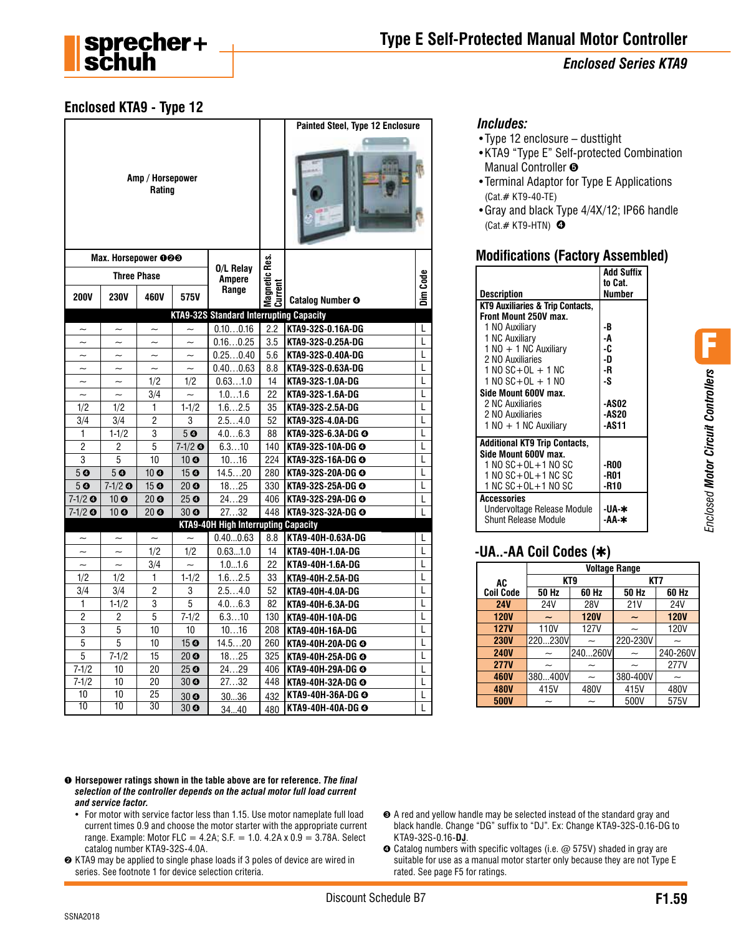

F

*Enclosed Motor Circuit Controllers*

# **Enclosed KTA9 - Type 12**

|                       |                       |                            |                                        |                                                |                          | <b>Painted Steel, Type 12 Enclosure</b> |          |
|-----------------------|-----------------------|----------------------------|----------------------------------------|------------------------------------------------|--------------------------|-----------------------------------------|----------|
|                       |                       | Amp / Horsepower<br>Rating |                                        |                                                |                          |                                         |          |
|                       | Max. Horsepower 000   |                            |                                        |                                                |                          |                                         |          |
|                       |                       | <b>Three Phase</b>         |                                        | 0/L Relay<br><b>Ampere</b>                     |                          |                                         |          |
| <b>200V</b>           | <b>230V</b>           | 460V                       | 575V                                   | Range                                          | Magnetic Res.<br>Current | <b>Catalog Number O</b>                 | Dim Code |
|                       |                       |                            |                                        | <b>KTA9-32S Standard Interrupting Capacity</b> |                          |                                         |          |
| $\sim$                | $\sim$                | $\sim$                     |                                        | 0.100.16                                       | 2.2                      | KTA9-32S-0.16A-DG                       | L        |
|                       |                       | $\tilde{\phantom{0}}$      | $\sim$                                 | 0.160.25                                       | 3.5                      | KTA9-32S-0.25A-DG                       | L        |
| $\tilde{}$            | $\tilde{}$            | $\tilde{}$                 | $\tilde{}$                             | 0.250.40                                       | 5.6                      | KTA9-32S-0.40A-DG                       | L        |
| $\sim$                | $\tilde{\phantom{a}}$ | $\sim$                     | $\sim$                                 | 0.400.63                                       | 8.8                      | KTA9-32S-0.63A-DG                       | L        |
| $\sim$                |                       | 1/2                        | 1/2                                    | 0.631.0                                        | 14                       | KTA9-32S-1.0A-DG                        | L        |
| $\sim$                | $\sim$                | 3/4                        | $\sim$                                 | 1.01.6                                         | 22                       | KTA9-32S-1.6A-DG                        | L        |
| 1/2                   | 1/2                   | 1                          | $1 - 1/2$                              | 1.62.5                                         | 35                       | KTA9-32S-2.5A-DG                        | L        |
| 3/4                   | 3/4                   | 2                          | 3                                      | 2.54.0                                         | 52                       | KTA9-32S-4.0A-DG                        | L        |
| 1                     | $1 - 1/2$             | 3                          | 5 <sub>o</sub>                         | 4.06.3                                         | 88                       | KTA9-32S-6.3A-DG @                      | L        |
| 2<br>3                | 2<br>5                | 5<br>10                    | $7-1/2$ $\odot$                        | 6.310                                          | 140                      | KTA9-32S-10A-DG @                       | L<br>L   |
| 5 <sub>o</sub>        | 5 <sub>o</sub>        | 10 <sub>o</sub>            | 10 <sub>o</sub><br>15 <sup>o</sup>     | 1016<br>14.520                                 | 224<br>280               | KTA9-32S-16A-DG @<br>KTA9-32S-20A-DG @  | L        |
| 50                    | $7 - 1/2$ O           | 15 <sub>o</sub>            | $20$ $\odot$                           | 1825                                           | 330                      | KTA9-32S-25A-DG @                       | L        |
| $7-1/2$ $\odot$       | 10 <sup>o</sup>       | 20 <sub>o</sub>            | 25 <sub>o</sub>                        | 2429                                           | 406                      | KTA9-32S-29A-DG @                       | L        |
| $7-1/2$ $\odot$       | 10 <sub>o</sub>       | 20 <sub>o</sub>            | 30 <sub>o</sub>                        | 2732                                           | 448                      | KTA9-32S-32A-DG @                       | L        |
|                       |                       |                            |                                        | <b>KTA9-40H High Interrupting Capacity</b>     |                          |                                         |          |
| $\tilde{\phantom{a}}$ | $\tilde{}$            | $\widetilde{\phantom{m}}$  | $\widetilde{\phantom{m}}$              | 0.400.63                                       | 8.8                      | KTA9-40H-0.63A-DG                       | L        |
| $\sim$                | $\sim$                | 1/2                        | 1/2                                    | 0.631.0                                        | 14                       | KTA9-40H-1.0A-DG                        | L        |
| $\sim$                |                       | 3/4                        |                                        | 1.01.6                                         | 22                       | KTA9-40H-1.6A-DG                        | L        |
| 1/2                   | 1/2                   | 1                          | $1-1/2$                                | 1.62.5                                         | 33                       | KTA9-40H-2.5A-DG                        | L        |
| 3/4                   | 3/4                   | 2                          | 3                                      | 2.54.0                                         | 52                       | KTA9-40H-4.0A-DG                        | L        |
| 1                     | $1 - 1/2$             | 3                          | 5                                      | 4.06.3                                         | 82                       | KTA9-40H-6.3A-DG                        | L        |
| $\overline{2}$        | 2                     | 5                          | $7 - 1/2$                              | 6.310                                          | 130                      | KTA9-40H-10A-DG                         | L        |
| 3<br>$\overline{5}$   | 5<br>$\overline{5}$   | 10                         | 10                                     | 1016                                           | 208                      | KTA9-40H-16A-DG                         | L        |
| 5                     | $7 - 1/2$             | 10<br>15                   | 15 <sub>o</sub><br>$20\,$ <sup>O</sup> | 14.520                                         | 260                      | KTA9-40H-20A-DG @                       | L<br>L   |
| $7 - 1/2$             | 10                    | 20                         | 25 <sub>o</sub>                        | 1825<br>$\overline{24}$ 29                     | 325<br>406               | KTA9-40H-25A-DG @<br>KTA9-40H-29A-DG @  | L        |
| $7 - 1/2$             | 10                    | 20                         | 30 <sub>o</sub>                        | 2732                                           | 448                      | KTA9-40H-32A-DG @                       | L        |
| 10                    | 10                    | 25                         | 30 <sub>o</sub>                        | 3036                                           | 432                      | KTA9-40H-36A-DG @                       | L        |
| 10                    | 10                    | 30                         | 30 O                                   | 3440                                           | 480                      | KTA9-40H-40A-DG @                       | L        |
|                       |                       |                            |                                        |                                                |                          |                                         |          |

#### *Includes:*

- •Type 12 enclosure dusttight
- •KTA9 "Type E" Self-protected Combination Manual Controller  $\Theta$
- •Terminal Adaptor for Type E Applications (Cat.# KT9-40-TE)
- •Gray and black Type 4/4X/12; IP66 handle (Cat.# KT9-HTN)  $\bullet$

### **Modifications (Factory Assembled)**

| Description                                                                              | Add Suffix<br>to Cat.<br>Number       |
|------------------------------------------------------------------------------------------|---------------------------------------|
| KT9 Auxiliaries & Trip Contacts,<br>Front Mount 250V max.                                |                                       |
| 1 NO Auxiliary                                                                           | -B                                    |
| 1 NC Auxiliary                                                                           | -A                                    |
| $1 N0 + 1 N$ C Auxiliary<br>2 NO Auxiliaries                                             | -C<br>-D                              |
| 1 NO SC+OL + 1 NC                                                                        | -R                                    |
| $1 N0 SC + OL + 1 NO$                                                                    | -S                                    |
| Side Mount 600V max.<br>2 NC Auxiliaries<br>2 NO Auxiliaries<br>$1 N0 + 1 N$ C Auxiliary | <b>-ASO2</b><br><b>-AS20</b><br>-AS11 |
| <b>Additional KT9 Trip Contacts,</b>                                                     |                                       |
| Side Mount 600V max.                                                                     |                                       |
| 1 NO SC+OL+1 NO SC<br>1 NO SC+OL+1 NC SC                                                 | -R00<br>-R01                          |
| 1 NC SC+OL+1 NO SC                                                                       | -R10                                  |
| Accessories<br>Undervoltage Release Module<br>Shunt Release Module                       | -UA-∗<br>-АА-ж                        |

#### **-UA..-AA Coil Codes (**✱**)**

|                  | <b>Voltage Range</b>      |             |          |             |  |  |  |
|------------------|---------------------------|-------------|----------|-------------|--|--|--|
| AC               |                           | KT9         | KT7      |             |  |  |  |
| <b>Coil Code</b> | 50 Hz<br>60 Hz            |             | 50 Hz    | 60 Hz       |  |  |  |
| <b>24V</b>       | 24V                       | <b>28V</b>  | 21V      | 24V         |  |  |  |
| <b>120V</b>      |                           | <b>120V</b> |          | <b>120V</b> |  |  |  |
| <b>127V</b>      | 110V                      | <b>127V</b> |          | <b>120V</b> |  |  |  |
| <b>230V</b>      | 220230V                   |             | 220-230V |             |  |  |  |
| <b>240V</b>      |                           | 240260V     |          | 240-260V    |  |  |  |
| <b>277V</b>      | $\widetilde{\phantom{m}}$ |             |          | 277V        |  |  |  |
| <b>460V</b>      | 380400V                   |             | 380-400V | ~           |  |  |  |
| <b>480V</b>      | 415V                      | 480V        | 415V     | 480V        |  |  |  |
| <b>500V</b>      |                           |             | 500V     | 575V        |  |  |  |

- ➊ **Horsepower ratings shown in the table above are for reference.** *The final selection of the controller depends on the actual motor full load current and service factor.*
	- For motor with service factor less than 1.15. Use motor nameplate full load current times 0.9 and choose the motor starter with the appropriate current range. Example: Motor FLC = 4.2A; S.F. = 1.0.  $4.2A \times 0.9 = 3.78A$ . Select catalog number KTA9-32S-4.0A.
- ➋ KTA9 may be applied to single phase loads if 3 poles of device are wired in series. See footnote 1 for device selection criteria.
- ➌ A red and yellow handle may be selected instead of the standard gray and black handle. Change "DG" suffix to "DJ". Ex: Change KTA9-32S-0.16-DG to KTA9-32S-0.16-**DJ**.
- ➍ Catalog numbers with specific voltages (i.e. @ 575V) shaded in gray are suitable for use as a manual motor starter only because they are not Type E rated. See page F5 for ratings.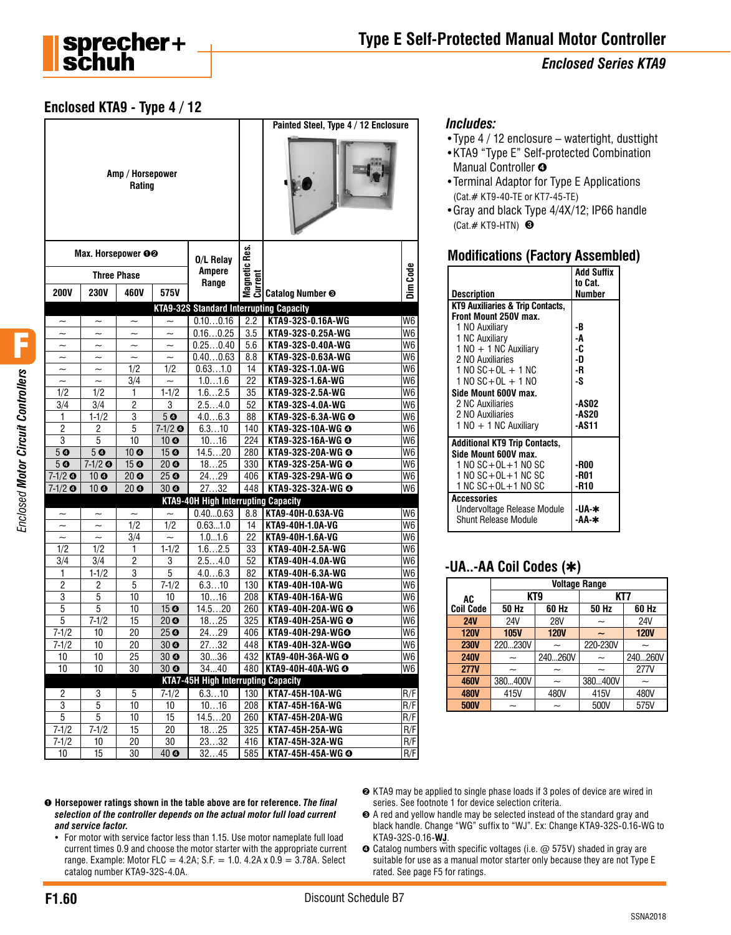

### **Enclosed KTA9 - Type 4 / 12**

|                           |                           |                            |                           |                                                |                          | Painted Steel, Type 4 / 12 Enclosure |                                  |
|---------------------------|---------------------------|----------------------------|---------------------------|------------------------------------------------|--------------------------|--------------------------------------|----------------------------------|
|                           |                           | Amp / Horsepower<br>Rating |                           |                                                |                          |                                      |                                  |
|                           | Max. Horsepower OO        |                            |                           | 0/L Relay<br><b>Ampere</b>                     | Magnetic Res.<br>Current |                                      |                                  |
|                           |                           | <b>Three Phase</b>         |                           | Range                                          |                          |                                      | Dim Code                         |
| <b>200V</b>               | <b>230V</b>               | 460V                       | 575V                      |                                                |                          | Catalog Number <sup>®</sup>          |                                  |
|                           |                           |                            |                           | <b>KTA9-32S Standard Interrupting Capacity</b> |                          |                                      |                                  |
|                           |                           |                            |                           | 0.100.16                                       | $\overline{2.2}$         | KTA9-32S-0.16A-WG                    | W <sub>6</sub>                   |
| $\tilde{}$                | $\tilde{}$                | $\tilde{}$                 | $\widetilde{\phantom{m}}$ | 0.160.25                                       | 3.5                      | KTA9-32S-0.25A-WG                    | W <sub>6</sub>                   |
| $\overline{\phantom{0}}$  | $\widetilde{\phantom{m}}$ | $\widetilde{\phantom{m}}$  | $\tilde{\phantom{a}}$     | 0.250.40                                       | 5.6                      | KTA9-32S-0.40A-WG                    | W <sub>6</sub>                   |
|                           |                           |                            |                           | 0.400.63                                       | 8.8                      | KTA9-32S-0.63A-WG                    | W <sub>6</sub>                   |
| $\widetilde{\phantom{m}}$ | $\tilde{\phantom{a}}$     | 1/2                        | 1/2                       | 0.631.0                                        | 14<br>22                 | KTA9-32S-1.0A-WG                     | W <sub>6</sub>                   |
| $\sim$                    | $\overline{\phantom{0}}$  | 3/4                        | $\widetilde{\phantom{m}}$ | 1.01.6<br>1.62.5                               |                          | KTA9-32S-1.6A-WG                     | W <sub>6</sub>                   |
| 1/2<br>3/4                | 1/2<br>3/4                | 1<br>2                     | $1 - 1/2$<br>3            | 2.54.0                                         | 35<br>52                 | KTA9-32S-2.5A-WG<br>KTA9-32S-4.0A-WG | W <sub>6</sub><br>W <sub>6</sub> |
| 1                         | $1 - 1/2$                 | 3                          | 5 <sub>o</sub>            | 4.06.3                                         | 88                       | KTA9-32S-6.3A-WG @                   | W <sub>6</sub>                   |
| $\overline{2}$            | $\overline{c}$            | 5                          | $7-1/2$ O                 | 6.310                                          | 140                      | KTA9-32S-10A-WG @                    | W <sub>6</sub>                   |
| 3                         | 5                         | 10                         | 10 <sub>o</sub>           | 1016                                           | 224                      | KTA9-32S-16A-WG @                    | W <sub>6</sub>                   |
| 50                        | 5 <sub>o</sub>            | 10 <sup>o</sup>            | 15 <sub>o</sub>           | 14.520                                         | 280                      | KTA9-32S-20A-WG @                    | W <sub>6</sub>                   |
| 50                        | $7-1/2$ $\odot$           | 15 <sup>°</sup>            | 20 <sub>o</sub>           | 1825                                           | 330                      | KTA9-32S-25A-WG @                    | W <sub>6</sub>                   |
| $7-1/2$ $\odot$           | 10 <sub>o</sub>           | $\overline{20}$ $\odot$    | 25 <sub>o</sub>           | 2429                                           | 406                      | KTA9-32S-29A-WG @                    | W6                               |
| $7-1/2$ $\odot$           | 10 <sub>o</sub>           | 20 <sub>o</sub>            | 30 <sub>o</sub>           | 2732                                           | 448                      | KTA9-32S-32A-WG @                    | W <sub>6</sub>                   |
|                           |                           |                            |                           | <b>KTA9-40H High Interrupting Capacity</b>     |                          |                                      |                                  |
|                           | $\tilde{\phantom{a}}$     | $\tilde{\phantom{a}}$      |                           | 0.400.63                                       | 8.8                      | KTA9-40H-0.63A-VG                    | W <sub>6</sub>                   |
| $\tilde{}$                | $\tilde{}$                | 1/2                        | 1/2                       | 0.631.0                                        | 14                       | KTA9-40H-1.0A-VG                     | W6                               |
| $\widetilde{\phantom{m}}$ | $\widetilde{\phantom{m}}$ | 3/4                        |                           | 1.01.6                                         | 22                       | KTA9-40H-1.6A-VG                     | W <sub>6</sub>                   |
| 1/2                       | 1/2                       | 1                          | $1 - 1/2$                 | 1.62.5                                         | 33                       | KTA9-40H-2.5A-WG                     | W <sub>6</sub>                   |
| 3/4                       | 3/4                       | 2                          | 3                         | 2.54.0                                         | 52                       | KTA9-40H-4.0A-WG                     | W6                               |
| 1                         | $1 - 1/2$                 | 3                          | 5                         | 4.06.3                                         | 82                       | KTA9-40H-6.3A-WG                     | W <sub>6</sub>                   |
| $\overline{2}$            | 2                         | $\overline{5}$             | $7 - 1/2$                 | 6.310                                          | 130                      | KTA9-40H-10A-WG                      | W <sub>6</sub>                   |
| $\overline{3}$            | 5                         | 10                         | 10                        | 1016                                           | 208                      | KTA9-40H-16A-WG                      | W6                               |
| 5                         | 5                         | 10                         | 15 <sub>o</sub>           | 14.520                                         | 260                      | KTA9-40H-20A-WG @                    | W <sub>6</sub>                   |
| 5                         | $7 - 1/2$                 | 15                         | 20 <sub>o</sub>           | 1825                                           | 325                      | KTA9-40H-25A-WG @                    | W <sub>6</sub>                   |
| $7 - 1/2$                 | 10                        | 20                         | 25 <sub>o</sub>           | 2429                                           | 406                      | KTA9-40H-29A-WGO                     | W6                               |
| $7 - 1/2$                 | 10                        | 20                         | 30 <sub>o</sub>           | 2732                                           | 448                      | KTA9-40H-32A-WGO                     | W6                               |
| $10\,$                    | $\overline{10}$           | $\overline{25}$            | 30 <sub>o</sub>           | 3036                                           |                          | 432 KTA9-40H-36A-WG O                | W6                               |
| 10                        | 10                        | 30                         | 30 <sub>o</sub>           | 3440                                           |                          | 480 KTA9-40H-40A-WG @                | W6                               |
|                           |                           |                            |                           | <b>KTA7-45H High Interrupting Capacity</b>     |                          |                                      |                                  |
| $\overline{c}$            | 3                         | 5                          | $7 - 1/2$                 | 6.310                                          | 130                      | KTA7-45H-10A-WG                      | R/F                              |
| 3<br>5                    | 5<br>5                    | 10                         | 10<br>15                  | 1016                                           | 208                      | KTA7-45H-16A-WG<br>KTA7-45H-20A-WG   | R/F                              |
| $7 - 1/2$                 | $7 - 1/2$                 | 10<br>15                   | 20                        | 14.520<br>1825                                 | 260<br>325               | KTA7-45H-25A-WG                      | R/F<br>R/F                       |
| $7 - 1/2$                 | 10                        | 20                         | 30                        | 2332                                           | 416                      | KTA7-45H-32A-WG                      | R/F                              |
| 10                        | 15                        | 30                         | 40 <sup>o</sup>           | 3245                                           | 585                      | KTA7-45H-45A-WG @                    | R/F                              |

#### *Includes:*

- •Type 4 / 12 enclosure watertight, dusttight
- •KTA9 "Type E" Self-protected Combination Manual Controller <sup>o</sup>
- •Terminal Adaptor for Type E Applications (Cat.# KT9-40-TE or KT7-45-TE)
- •Gray and black Type 4/4X/12; IP66 handle (Cat. $#$  KT9-HTN)  $\odot$

#### **Modifications (Factory Assembled)**

| <b>Description</b>                                        | <b>Add Suffix</b><br>to Cat.<br>Number |
|-----------------------------------------------------------|----------------------------------------|
| KT9 Auxiliaries & Trip Contacts,<br>Front Mount 250V max. |                                        |
| 1 NO Auxiliary                                            | -B                                     |
| 1 NC Auxiliary                                            | -A                                     |
| $1 N0 + 1 N$ C Auxiliary                                  | -C                                     |
| 2 NO Auxiliaries                                          | -D                                     |
| $1 N0 SC+OL + 1 NC$                                       | -R                                     |
| 1 NO SC+OL + 1 NO                                         | -S                                     |
| Side Mount 600V max.                                      |                                        |
| 2 NC Auxiliaries                                          | <b>-ASO2</b>                           |
| 2 NO Auxiliaries                                          | <b>-AS20</b>                           |
| $1 N0 + 1 N$ C Auxiliary                                  | -AS11                                  |
| <b>Additional KT9 Trip Contacts,</b>                      |                                        |
| Side Mount 600V max.                                      |                                        |
| $1 N0 SC+OL+1 NO SC$                                      | -R00                                   |
| 1 NO SC+OL+1 NC SC                                        | -R01                                   |
| $1NC$ SC+OL+1 NO SC                                       | -R10                                   |
| <b>Accessories</b>                                        |                                        |
| Undervoltage Release Module                               | -UA-∗                                  |
| Shunt Release Module                                      | -АА-ж                                  |

# **-UA..-AA Coil Codes (**✱**)**

|                  | <b>Voltage Range</b> |                       |          |             |  |
|------------------|----------------------|-----------------------|----------|-------------|--|
| AC               | KT <sub>9</sub>      |                       | KT7      |             |  |
| <b>Coil Code</b> | 50 Hz                | 60 Hz                 | 50 Hz    | 60 Hz       |  |
| <b>24V</b>       | 24V                  | <b>28V</b>            | ~        | 24V         |  |
| <b>120V</b>      | <b>105V</b>          | <b>120V</b>           |          | <b>120V</b> |  |
| <b>230V</b>      | 220230V              | $\tilde{\phantom{a}}$ | 220-230V |             |  |
| <b>240V</b>      |                      | 240260V               |          | 240260V     |  |
| <b>277V</b>      |                      |                       |          | 277V        |  |
| <b>460V</b>      | 380400V              | ~                     | 380400V  |             |  |
| <b>480V</b>      | 415V                 | 480V                  | 415V     | 480V        |  |
| <b>500V</b>      |                      |                       | 500V     | 575V        |  |

- ➊ **Horsepower ratings shown in the table above are for reference.** *The final selection of the controller depends on the actual motor full load current and service factor.*
	- For motor with service factor less than 1.15. Use motor nameplate full load current times 0.9 and choose the motor starter with the appropriate current range. Example: Motor FLC = 4.2A; S.F. = 1.0.  $4.2A \times 0.9 = 3.78A$ . Select catalog number KTA9-32S-4.0A.
- ➋ KTA9 may be applied to single phase loads if 3 poles of device are wired in series. See footnote 1 for device selection criteria.
- ➌ A red and yellow handle may be selected instead of the standard gray and black handle. Change "WG" suffix to "WJ". Ex: Change KTA9-32S-0.16-WG to KTA9-32S-0.16-**WJ**.
- ➍ Catalog numbers with specific voltages (i.e. @ 575V) shaded in gray are suitable for use as a manual motor starter only because they are not Type E rated. See page F5 for ratings.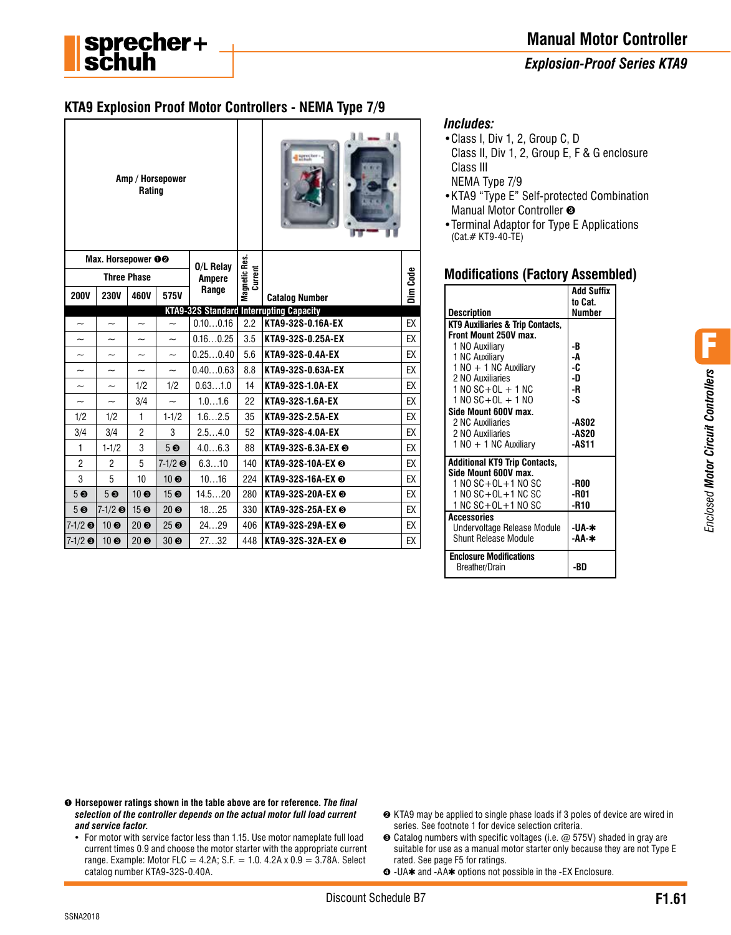### *Explosion-Proof Series KTA9*

# **KTA9 Explosion Proof Motor Controllers - NEMA Type 7/9**

| Amp / Horsepower<br>Rating      |                           |                           |                          |                          |     |                                                |          |
|---------------------------------|---------------------------|---------------------------|--------------------------|--------------------------|-----|------------------------------------------------|----------|
| Max. Horsepower OO<br>0/L Relay |                           |                           |                          | Magnetic Res.<br>Current |     |                                                |          |
|                                 | <b>Three Phase</b>        |                           |                          | <b>Ampere</b><br>Range   |     |                                                | Dim Code |
| <b>200V</b>                     | <b>230V</b>               | 460V                      | 575V                     |                          |     | <b>Catalog Number</b>                          |          |
|                                 |                           |                           |                          |                          |     | <b>KTA9-32S Standard Interrupting Capacity</b> |          |
| $\tilde{\phantom{a}}$           | $\overline{\phantom{0}}$  | $\tilde{\phantom{a}}$     | $\overline{\phantom{0}}$ | 0.100.16                 | 2.2 | KTA9-32S-0.16A-EX                              | EX       |
| $\tilde{}$                      |                           |                           | $\tilde{\phantom{a}}$    | 0.160.25                 | 3.5 | KTA9-32S-0.25A-EX                              | EX       |
| $\widetilde{\phantom{m}}$       | $\tilde{\phantom{a}}$     | $\widetilde{\phantom{m}}$ | $\tilde{\phantom{a}}$    | 0.250.40                 | 5.6 | KTA9-32S-0.4A-EX                               | EX       |
| $\tilde{}$                      | $\widetilde{\phantom{m}}$ | $\tilde{}$                | $\tilde{\phantom{a}}$    | 0.400.63                 | 8.8 | KTA9-32S-0.63A-EX                              | EX       |
| $\overline{\phantom{0}}$        | $\overline{\phantom{0}}$  | 1/2                       | 1/2                      | 0.631.0                  | 14  | KTA9-32S-1.0A-EX                               | EX       |
| $\tilde{\phantom{a}}$           | $\widetilde{\phantom{m}}$ | 3/4                       | $\sim$                   | 1.01.6                   | 22  | KTA9-32S-1.6A-EX                               | EX       |
| 1/2                             | 1/2                       | 1                         | $1 - 1/2$                | 1.62.5                   | 35  | KTA9-32S-2.5A-EX                               | EX       |
| 3/4                             | 3/4                       | $\overline{2}$            | 3                        | 2.54.0                   | 52  | KTA9-32S-4.0A-EX                               | EX       |
| $\mathbf{1}$                    | $1 - 1/2$                 | 3                         | 5 <sub>6</sub>           | 4.06.3                   | 88  | KTA9-32S-6.3A-EX <sup>®</sup>                  | EX       |
| $\overline{2}$                  | $\overline{2}$            | 5                         | $7-1/2$ $\odot$          | 6.310                    | 140 | KTA9-32S-10A-EX <sup>®</sup>                   | EX       |
| 3                               | 5                         | 10                        | $10 \, \odot$            | 1016                     | 224 | KTA9-32S-16A-EX <sup>®</sup>                   | EX       |
| 5 <sub>6</sub>                  | 5 <sub>6</sub>            | 10 <sub>0</sub>           | 15 <sup>6</sup>          | 14.520                   | 280 | KTA9-32S-20A-EX <sup>®</sup>                   | EX       |
| 5 <sub>6</sub>                  | $7-1/2$ $\odot$           | 15 ❸                      | 20 <sub>0</sub>          | 1825                     | 330 | KTA9-32S-25A-EX <sup>®</sup>                   | EX       |
| $7 - 1/2$ ©                     | 10 <sub>0</sub>           | 20 <sup>o</sup>           | 25 <sub>0</sub>          | 2429                     | 406 | KTA9-32S-29A-EX <sup>®</sup>                   | EX       |
| $7-1/2$ $\odot$                 | 10 <sub>0</sub>           | 20 <sub>0</sub>           | 30 <sub>0</sub>          | 2732                     | 448 | KTA9-32S-32A-EX <sup>®</sup>                   | EX       |

#### *Includes:*

- •Class I, Div 1, 2, Group C, D Class II, Div 1, 2, Group E, F & G enclosure Class III
- NEMA Type 7/9
- •KTA9 "Type E" Self-protected Combination Manual Motor Controller ➌
- •Terminal Adaptor for Type E Applications (Cat.# KT9-40-TE)

#### **Modifications (Factory Assembled)**

|                                      | <b>Add Suffix</b><br>to Cat. |
|--------------------------------------|------------------------------|
| <b>Description</b>                   | <b>Number</b>                |
| KT9 Auxiliaries & Trip Contacts,     |                              |
| Front Mount 250V max.                |                              |
| 1 NO Auxiliary                       | -B                           |
| 1 NC Auxiliary                       | -A                           |
| $1 N0 + 1 N$ C Auxiliary             | -C                           |
| 2 NO Auxiliaries                     | -D                           |
| $1 NQ SC + OL + 1 NC$                | -R                           |
| $1 N0 SC + OL + 1 N0$                | -S                           |
| Side Mount 600V max.                 |                              |
| 2 NC Auxiliaries                     | <b>-ASO2</b>                 |
| 2 NO Auxiliaries                     | <b>-AS20</b>                 |
| $1 N0 + 1 N$ C Auxiliary             | -AS11                        |
| <b>Additional KT9 Trip Contacts,</b> |                              |
| Side Mount 600V max.                 |                              |
| $1 NQ SC + OL + 1 NO SC$             | -R00                         |
| 1 NO SC+OL+1 NC SC                   | -R01                         |
| $1$ NC SC+OL+1 NO SC                 | -R10                         |
| <b>Accessories</b>                   |                              |
| Undervoltage Release Module          | -UA-∗                        |
| Shunt Release Module                 | -АА-*                        |
| <b>Enclosure Modifications</b>       |                              |
| Breather/Drain                       | -BD                          |

- ➊ **Horsepower ratings shown in the table above are for reference.** *The final selection of the controller depends on the actual motor full load current and service factor.*
	- For motor with service factor less than 1.15. Use motor nameplate full load current times 0.9 and choose the motor starter with the appropriate current range. Example: Motor FLC = 4.2A; S.F. = 1.0.  $4.2A \times 0.9 = 3.78A$ . Select catalog number KTA9-32S-0.40A.
- ➋ KTA9 may be applied to single phase loads if 3 poles of device are wired in series. See footnote 1 for device selection criteria.
- ➌ Catalog numbers with specific voltages (i.e. @ 575V) shaded in gray are suitable for use as a manual motor starter only because they are not Type E rated. See page F5 for ratings.
- ➍ -UA✱ and -AA✱ options not possible in the -EX Enclosure.